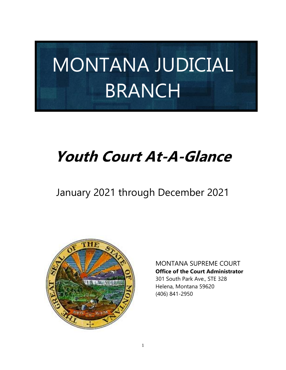# MONTANA JUDICIAL BRANCH

## **Youth Court At-A-Glance**

### January 2021 through December 2021



MONTANA SUPREME COURT **Office of the Court Administrator**

 301 South Park Ave., STE 328 Helena, Montana 59620 (406) 841-2950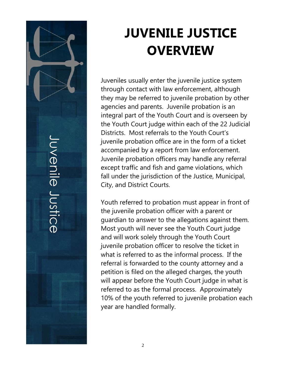Juvenile Justice

## **JUVENILE JUSTICE OVERVIEW**

Juveniles usually enter the juvenile justice system through contact with law enforcement, although they may be referred to juvenile probation by other agencies and parents. Juvenile probation is an integral part of the Youth Court and is overseen by the Youth Court judge within each of the 22 Judicial Districts. Most referrals to the Youth Court's juvenile probation office are in the form of a ticket accompanied by a report from law enforcement. Juvenile probation officers may handle any referral except traffic and fish and game violations, which fall under the jurisdiction of the Justice, Municipal, City, and District Courts.

Youth referred to probation must appear in front of the juvenile probation officer with a parent or guardian to answer to the allegations against them. Most youth will never see the Youth Court judge and will work solely through the Youth Court juvenile probation officer to resolve the ticket in what is referred to as the informal process. If the referral is forwarded to the county attorney and a petition is filed on the alleged charges, the youth will appear before the Youth Court judge in what is referred to as the formal process. Approximately 10% of the youth referred to juvenile probation each year are handled formally.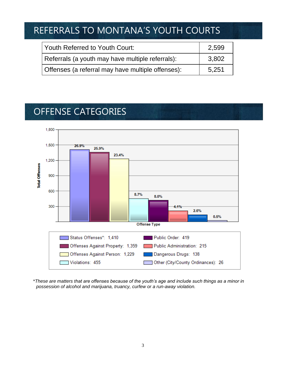### REFERRALS TO MONTANA'S YOUTH COURTS

| l Youth Referred to Youth Court:                  | 2,599 |
|---------------------------------------------------|-------|
| Referrals (a youth may have multiple referrals):  | 3,802 |
| Offenses (a referral may have multiple offenses): | 5.251 |

### OFFENSE CATEGORIES



\**These are matters that are offenses because of the youth's age and include such things as a minor in possession of alcohol and marijuana, truancy, curfew or a run-away violation.*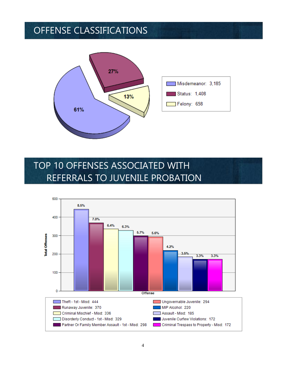### OFFENSE CLASSIFICATIONS



### TOP 10 OFFENSES ASSOCIATED WITH REFERRALS TO JUVENILE PROBATION

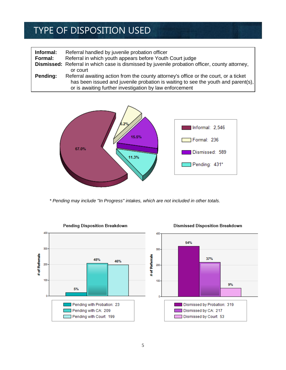### TYPE OF DISPOSITION USED

| Informal:<br>Formal: | Referral handled by juvenile probation officer<br>Referral in which youth appears before Youth Court judge                                                                                                                           |
|----------------------|--------------------------------------------------------------------------------------------------------------------------------------------------------------------------------------------------------------------------------------|
|                      | Dismissed: Referral in which case is dismissed by juvenile probation officer, county attorney,                                                                                                                                       |
|                      | or court                                                                                                                                                                                                                             |
| Pending:             | Referral awaiting action from the county attorney's office or the court, or a ticket<br>has been issued and juvenile probation is waiting to see the youth and parent(s),<br>or is awaiting further investigation by law enforcement |



 *\* Pending may include "In Progress" intakes, which are not included in other totals.*



Dismissed Disposition Breakdown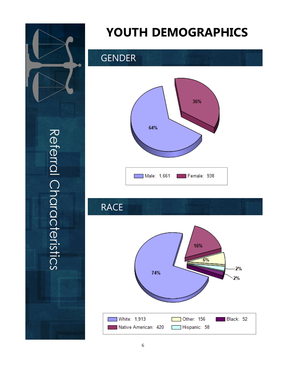

## **YOUTH DEMOGRAPHICS**

### GENDER



### RACE

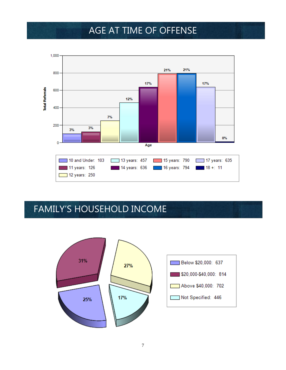### AGE AT TIME OF OFFENSE



### FAMILY'S HOUSEHOLD INCOME

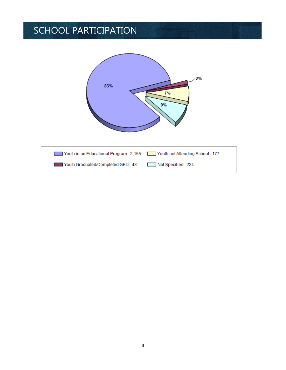### SCHOOL PARTICIPATION

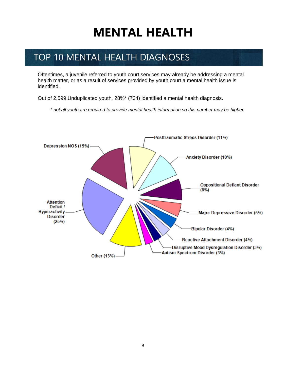## **MENTAL HEALTH**

### TOP 10 MENTAL HEALTH DIAGNOSES

Oftentimes, a juvenile referred to youth court services may already be addressing a mental health matter, or as a result of services provided by youth court a mental health issue is identified.

Out of 2,599 Unduplicated youth, 28%\* (734) identified a mental health diagnosis.

*\* not all youth are required to provide mental health information so this number may be higher.* 

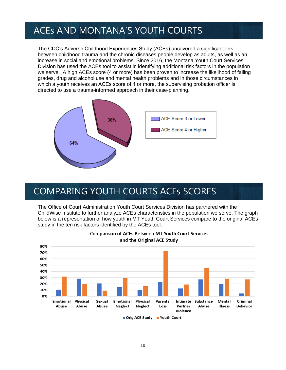#### ACEs AND MONTANA'S YOUTH COURTS

The CDC's Adverse Childhood Experiences Study (ACEs) uncovered a significant link between childhood trauma and the chronic diseases people develop as adults, as well as an increase in social and emotional problems. Since 2016, the Montana Youth Court Services Division has used the ACEs tool to assist in identifying additional risk factors in the population we serve. A high ACEs score (4 or more) has been proven to increase the likelihood of failing grades, drug and alcohol use and mental health problems and in those circumstances in which a youth receives an ACEs score of 4 or more, the supervising probation officer is directed to use a trauma-informed approach in their case-planning.



### COMPARING YOUTH COURTS ACEs SCORES

The Office of Court Administration Youth Court Services Division has partnered with the ChildWise Institute to further analyze ACEs characteristics in the population we serve. The graph below is a representation of how youth in MT Youth Court Services compare to the original ACEs study in the ten risk factors identified by the ACEs tool.



**Comparison of ACEs Between MT Youth Court Services** and the Original ACE Study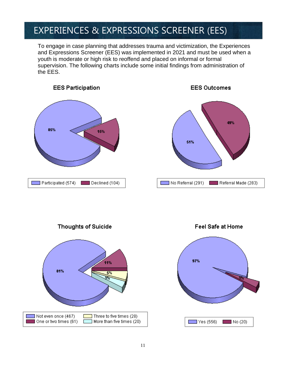### EXPERIENCES & EXPRESSIONS SCREENER (EES)

To engage in case planning that addresses trauma and victimization, the Experiences and Expressions Screener (EES) was implemented in 2021 and must be used when a youth is moderate or high risk to reoffend and placed on informal or formal supervision. The following charts include some initial findings from administration of the EES.





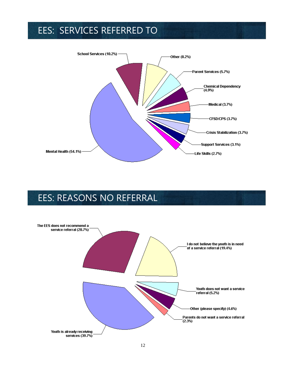### EES: SERVICES REFERRED TO



### EES: REASONS NO REFERRAL

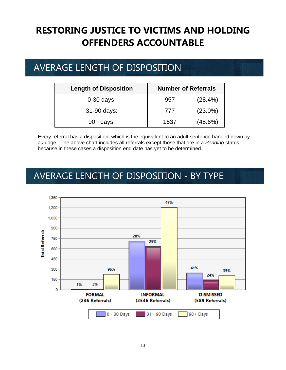### **RESTORING JUSTICE TO VICTIMS AND HOLDING OFFENDERS ACCOUNTABLE**

### AVERAGE LENGTH OF DISPOSITION

| <b>Length of Disposition</b> | <b>Number of Referrals</b> |            |
|------------------------------|----------------------------|------------|
| $0-30$ days:                 | 957                        | (28.4%)    |
| 31-90 days:                  | 777                        | $(23.0\%)$ |
| $90+$ days:                  | 1637                       | (48.6%)    |

Every referral has a disposition, which is the equivalent to an adult sentence handed down by a Judge. The above chart includes all referrals except those that are in a *Pending* status because in these cases a disposition end date has yet to be determined.

### AVERAGE LENGTH OF DISPOSITION - BY TYPE

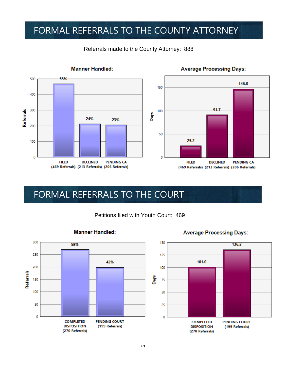### FORMAL REFERRALS TO THE COUNTY ATTORNEY



#### Referrals made to the County Attorney: 888



**Average Processing Days:** 

### FORMAL REFERRALS TO THE COURT

Petitions filed with Youth Court: 469



#### **Manner Handled:**

**Average Processing Days:** 

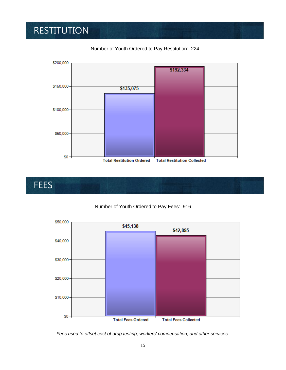### RESTITUTION



Number of Youth Ordered to Pay Restitution: 224

## **FEES**

#### Number of Youth Ordered to Pay Fees: 916



*Fees used to offset cost of drug testing, workers' compensation, and other services.*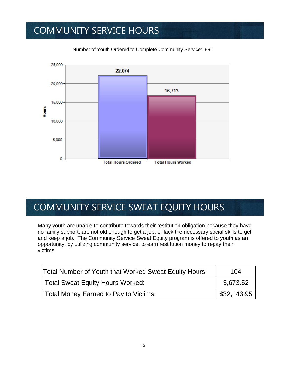### COMMUNITY SERVICE HOURS



Number of Youth Ordered to Complete Community Service: 991

### COMMUNITY SERVICE SWEAT EQUITY HOURS

Many youth are unable to contribute towards their restitution obligation because they have no family support, are not old enough to get a job, or lack the necessary social skills to get and keep a job. The Community Service Sweat Equity program is offered to youth as an opportunity, by utilizing community service, to earn restitution money to repay their victims.

| Total Number of Youth that Worked Sweat Equity Hours: | 104                       |
|-------------------------------------------------------|---------------------------|
| Total Sweat Equity Hours Worked:                      | 3.673.52                  |
| Total Money Earned to Pay to Victims:                 | $\frac{1}{2}$ \$32,143.95 |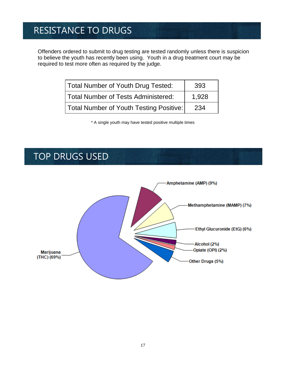### RESISTANCE TO DRUGS

Offenders ordered to submit to drug testing are tested randomly unless there is suspicion to believe the youth has recently been using. Youth in a drug treatment court may be required to test more often as required by the judge.

| Total Number of Youth Drug Tested:      | 393   |
|-----------------------------------------|-------|
| Total Number of Tests Administered:     | 1,928 |
| Total Number of Youth Testing Positive: | 234   |

\* A single youth may have tested positive multiple times

#### TOP DRUGS USED

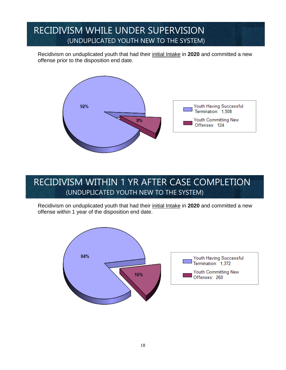#### RECIDIVISM WHILE UNDER SUPERVISION (UNDUPLICATED YOUTH NEW TO THE SYSTEM)

Recidivism on unduplicated youth that had their initial Intake in **2020** and committed a new offense prior to the disposition end date.



#### RECIDIVISM WITHIN 1 YR AFTER CASE COMPLETION (UNDUPLICATED YOUTH NEW TO THE SYSTEM)

Recidivism on unduplicated youth that had their initial Intake in **2020** and committed a new offense within 1 year of the disposition end date.

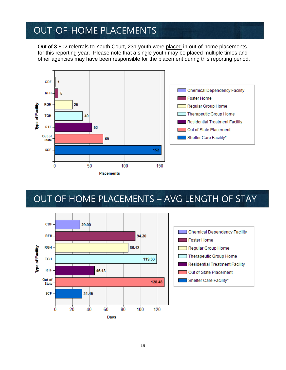#### OUT-OF-HOME PLACEMENTS

Out of 3,802 referrals to Youth Court, 231 youth were placed in out-of-home placements for this reporting year. Please note that a single youth may be placed multiple times and other agencies may have been responsible for the placement during this reporting period.



### OUT OF HOME PLACEMENTS – AVG LENGTH OF STAY



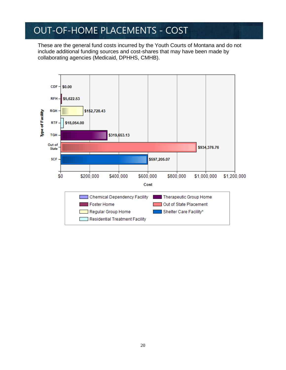### OUT-OF-HOME PLACEMENTS - COST

These are the general fund costs incurred by the Youth Courts of Montana and do not include additional funding sources and cost-shares that may have been made by collaborating agencies (Medicaid, DPHHS, CMHB).

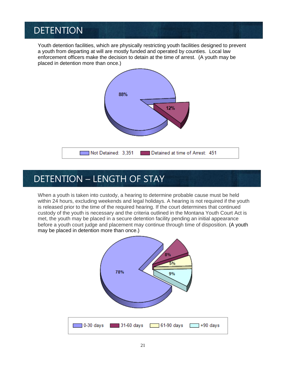### DETENTION

Youth detention facilities, which are physically restricting youth facilities designed to prevent a youth from departing at will are mostly funded and operated by counties. Local law enforcement officers make the decision to detain at the time of arrest. (A youth may be placed in detention more than once.)



#### DETENTION – LENGTH OF STAY

When a youth is taken into custody, a hearing to determine probable cause must be held within 24 hours, excluding weekends and legal holidays. A hearing is not required if the youth is released prior to the time of the required hearing. If the court determines that continued custody of the youth is necessary and the criteria outlined in the Montana Youth Court Act is met, the youth may be placed in a secure detention facility pending an initial appearance before a youth court judge and placement may continue through time of disposition. (A youth may be placed in detention more than once.)

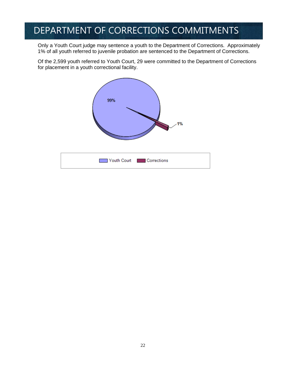### DEPARTMENT OF CORRECTIONS COMMITMENTS

Only a Youth Court judge may sentence a youth to the Department of Corrections. Approximately 1% of all youth referred to juvenile probation are sentenced to the Department of Corrections.

Of the 2,599 youth referred to Youth Court, 29 were committed to the Department of Corrections for placement in a youth correctional facility.

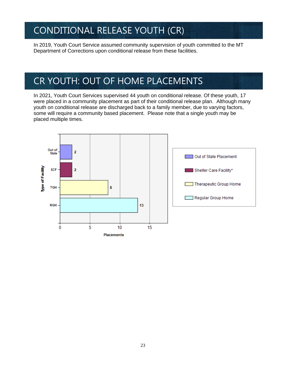### CONDITIONAL RELEASE YOUTH (CR)

In 2019, Youth Court Service assumed community supervision of youth committed to the MT Department of Corrections upon conditional release from these facilities.

### CR YOUTH: OUT OF HOME PLACEMENTS

In 2021, Youth Court Services supervised 44 youth on conditional release. Of these youth, 17 were placed in a community placement as part of their conditional release plan. Although many youth on conditional release are discharged back to a family member, due to varying factors, some will require a community based placement. Please note that a single youth may be placed multiple times.

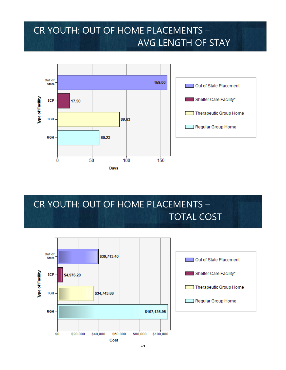### CR YOUTH: OUT OF HOME PLACEMENTS – AVG LENGTH OF STAY



### CR YOUTH: OUT OF HOME PLACEMENTS – TOTAL COST

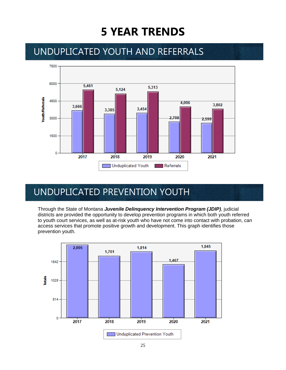### **5 YEAR TRENDS**

#### UNDUPLICATED YOUTH AND REFERRALS



#### UNDUPLICATED PREVENTION YOUTH

Through the State of Montana *Juvenile Delinquency Intervention Program (JDIP)*, judicial districts are provided the opportunity to develop prevention programs in which both youth referred to youth court services, as well as at-risk youth who have not come into contact with probation, can access services that promote positive growth and development. This graph identifies those prevention youth.

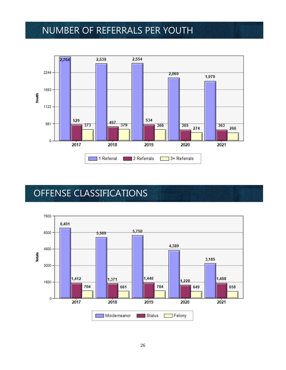#### NUMBER OF REFERRALS PER YOUTH



### OFFENSE CLASSIFICATIONS

D

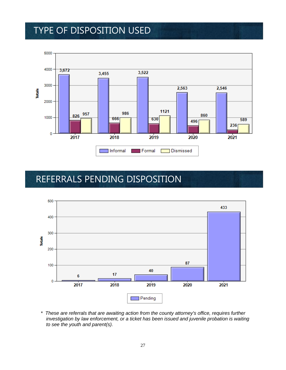#### TYPE OF DISPOSITION USED



#### REFERRALS PENDING DISPOSITION



 *\* These are referrals that are awaiting action from the county attorney's office, requires further investigation by law enforcement, or a ticket has been issued and juvenile probation is waiting to see the youth and parent(s).*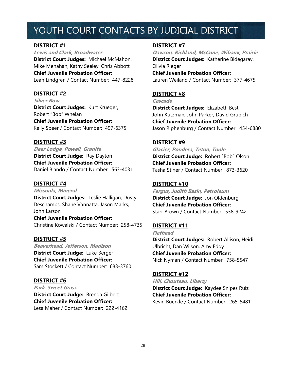### YOUTH COURT CONTACTS BY JUDICIAL DISTRICT

#### **DISTRICT #1**

**Lewis and Clark, Broadwater District Court Judges:** Michael McMahon, Mike Menahan, Kathy Seeley, Chris Abbott **Chief Juvenile Probation Officer:**  Leah Lindgren / Contact Number: 447-8228

#### **DISTRICT #2**

**Silver Bow District Court Judges:** Kurt Krueger, Robert "Bob" Whelan **Chief Juvenile Probation Officer:**  Kelly Speer / Contact Number: 497-6375

#### **DISTRICT #3**

**Deer Lodge, Powell, Granite District Court Judge:** Ray Dayton **Chief Juvenile Probation Officer:**  Daniel Blando / Contact Number: 563-4031

#### **DISTRICT #4**

**Missoula, Mineral District Court Judges:** Leslie Halligan, Dusty Deschamps, Shane Vannatta, Jason Marks, John Larson **Chief Juvenile Probation Officer:** 

Christine Kowalski / Contact Number: 258-4735

#### **DISTRICT #5**

**Beaverhead, Jefferson, Madison District Court Judge:** Luke Berger **Chief Juvenile Probation Officer:**  Sam Stockett / Contact Number: 683-3760

#### **DISTRICT #6**

**Park, Sweet Grass**

**District Court Judge:** Brenda Gilbert **Chief Juvenile Probation Officer:**  Lesa Maher / Contact Number: 222-4162

#### **DISTRICT #7**

**Dawson, Richland, McCone, Wibaux, Prairie District Court Judges:** Katherine Bidegaray, Olivia Rieger **Chief Juvenile Probation Officer:** 

Lauren Weiland / Contact Number: 377-4675

#### **DISTRICT #8**

**Cascade**

**District Court Judges:** Elizabeth Best, John Kutzman, John Parker, David Grubich **Chief Juvenile Probation Officer:**  Jason Riphenburg / Contact Number: 454-6880

#### **DISTRICT #9**

**Glacier, Pondera, Teton, Toole District Court Judge:** Robert "Bob" Olson **Chief Juvenile Probation Officer:**  Tasha Stiner / Contact Number: 873-3620

#### **DISTRICT #10**

**Fergus, Judith Basin, Petroleum District Court Judge:** Jon Oldenburg **Chief Juvenile Probation Officer:**  Starr Brown / Contact Number: 538-9242

#### **DISTRICT #11**

**Flathead**

**District Court Judges:** Robert Allison, Heidi Ulbricht, Dan Wilson, Amy Eddy **Chief Juvenile Probation Officer:**  Nick Nyman / Contact Number: 758-5547

#### **DISTRICT #12**

**Hill, Chouteau, Liberty District Court Judge:** Kaydee Snipes Ruiz **Chief Juvenile Probation Officer:**  Kevin Buerkle / Contact Number: 265-5481